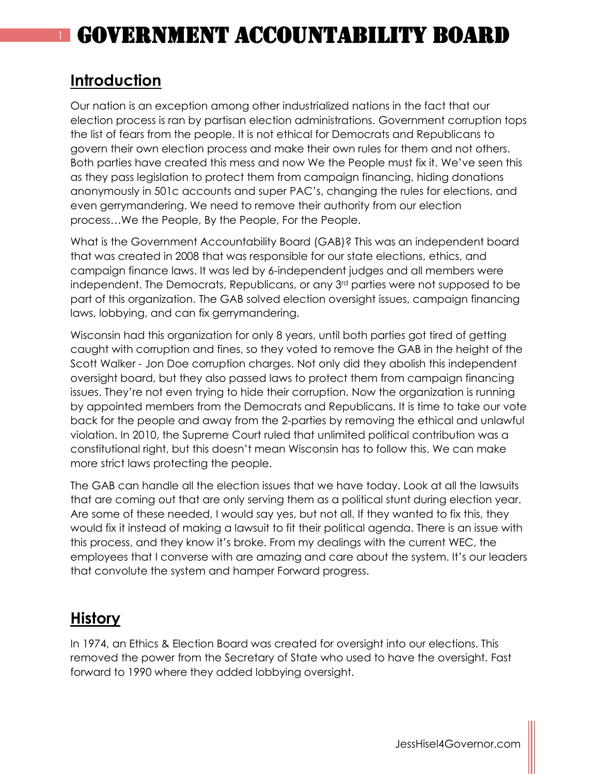#### **Introduction**

Our nation is an exception among other industrialized nations in the fact that our election process is ran by partisan election administrations. Government corruption tops the list of fears from the people. It is not ethical for Democrats and Republicans to govern their own election process and make their own rules for them and not others. Both parties have created this mess and now We the People must fix it. We've seen this as they pass legislation to protect them from campaign financing, hiding donations anonymously in 501c accounts and super PAC's, changing the rules for elections, and even gerrymandering. We need to remove their authority from our election process…We the People, By the People, For the People.

What is the Government Accountability Board (GAB)? This was an independent board that was created in 2008 that was responsible for our state elections, ethics, and campaign finance laws. It was led by 6-independent judges and all members were independent. The Democrats, Republicans, or any 3rd parties were not supposed to be part of this organization. The GAB solved election oversight issues, campaign financing laws, lobbying, and can fix gerrymandering.

Wisconsin had this organization for only 8 years, until both parties got tired of getting caught with corruption and fines, so they voted to remove the GAB in the height of the Scott Walker - Jon Doe corruption charges. Not only did they abolish this independent oversight board, but they also passed laws to protect them from campaign financing issues. They're not even trying to hide their corruption. Now the organization is running by appointed members from the Democrats and Republicans. It is time to take our vote back for the people and away from the 2-parties by removing the ethical and unlawful violation. In 2010, the Supreme Court ruled that unlimited political contribution was a constitutional right, but this doesn't mean Wisconsin has to follow this. We can make more strict laws protecting the people.

The GAB can handle all the election issues that we have today. Look at all the lawsuits that are coming out that are only serving them as a political stunt during election year. Are some of these needed, I would say yes, but not all. If they wanted to fix this, they would fix it instead of making a lawsuit to fit their political agenda. There is an issue with this process, and they know it's broke. From my dealings with the current WEC, the employees that I converse with are amazing and care about the system. It's our leaders that convolute the system and hamper Forward progress.

### **History**

In 1974, an Ethics & Election Board was created for oversight into our elections. This removed the power from the Secretary of State who used to have the oversight. Fast forward to 1990 where they added lobbying oversight.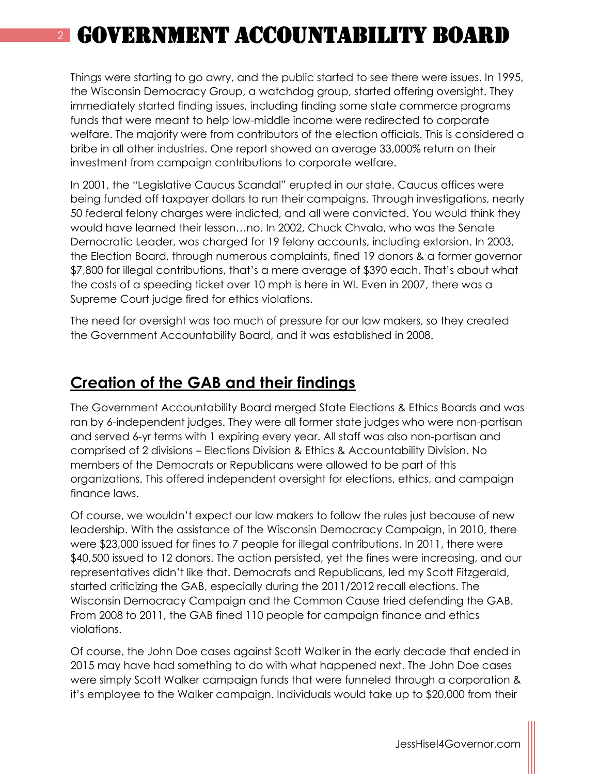Things were starting to go awry, and the public started to see there were issues. In 1995, the Wisconsin Democracy Group, a watchdog group, started offering oversight. They immediately started finding issues, including finding some state commerce programs funds that were meant to help low-middle income were redirected to corporate welfare. The majority were from contributors of the election officials. This is considered a bribe in all other industries. One report showed an average 33,000% return on their investment from campaign contributions to corporate welfare.

In 2001, the "Legislative Caucus Scandal" erupted in our state. Caucus offices were being funded off taxpayer dollars to run their campaigns. Through investigations, nearly 50 federal felony charges were indicted, and all were convicted. You would think they would have learned their lesson…no. In 2002, Chuck Chvala, who was the Senate Democratic Leader, was charged for 19 felony accounts, including extorsion. In 2003, the Election Board, through numerous complaints, fined 19 donors & a former governor \$7,800 for illegal contributions, that's a mere average of \$390 each. That's about what the costs of a speeding ticket over 10 mph is here in WI. Even in 2007, there was a Supreme Court judge fired for ethics violations.

The need for oversight was too much of pressure for our law makers, so they created the Government Accountability Board, and it was established in 2008.

#### **Creation of the GAB and their findings**

The Government Accountability Board merged State Elections & Ethics Boards and was ran by 6-independent judges. They were all former state judges who were non-partisan and served 6-yr terms with 1 expiring every year. All staff was also non-partisan and comprised of 2 divisions – Elections Division & Ethics & Accountability Division. No members of the Democrats or Republicans were allowed to be part of this organizations. This offered independent oversight for elections, ethics, and campaign finance laws.

Of course, we wouldn't expect our law makers to follow the rules just because of new leadership. With the assistance of the Wisconsin Democracy Campaign, in 2010, there were \$23,000 issued for fines to 7 people for illegal contributions. In 2011, there were \$40,500 issued to 12 donors. The action persisted, yet the fines were increasing, and our representatives didn't like that. Democrats and Republicans, led my Scott Fitzgerald, started criticizing the GAB, especially during the 2011/2012 recall elections. The Wisconsin Democracy Campaign and the Common Cause tried defending the GAB. From 2008 to 2011, the GAB fined 110 people for campaign finance and ethics violations.

Of course, the John Doe cases against Scott Walker in the early decade that ended in 2015 may have had something to do with what happened next. The John Doe cases were simply Scott Walker campaign funds that were funneled through a corporation & it's employee to the Walker campaign. Individuals would take up to \$20,000 from their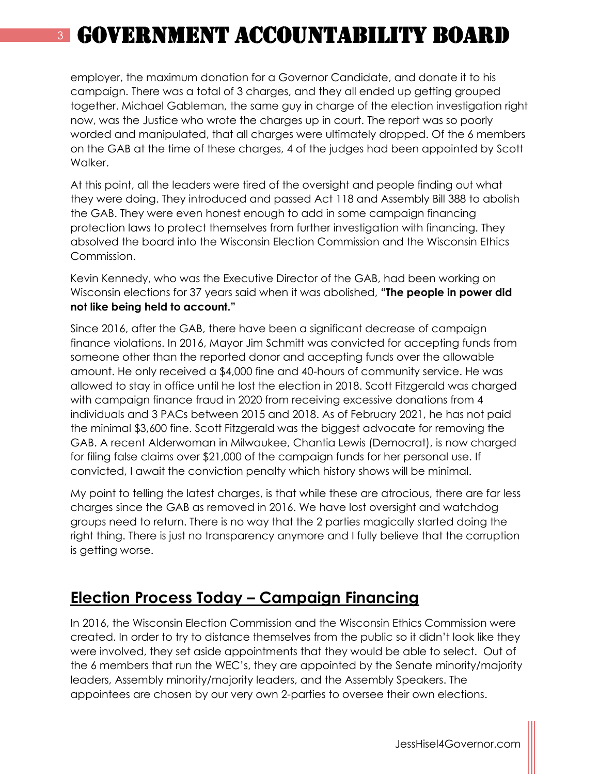employer, the maximum donation for a Governor Candidate, and donate it to his campaign. There was a total of 3 charges, and they all ended up getting grouped together. Michael Gableman, the same guy in charge of the election investigation right now, was the Justice who wrote the charges up in court. The report was so poorly worded and manipulated, that all charges were ultimately dropped. Of the 6 members on the GAB at the time of these charges, 4 of the judges had been appointed by Scott Walker.

At this point, all the leaders were tired of the oversight and people finding out what they were doing. They introduced and passed Act 118 and Assembly Bill 388 to abolish the GAB. They were even honest enough to add in some campaign financing protection laws to protect themselves from further investigation with financing. They absolved the board into the Wisconsin Election Commission and the Wisconsin Ethics Commission.

Kevin Kennedy, who was the Executive Director of the GAB, had been working on Wisconsin elections for 37 years said when it was abolished, **"The people in power did not like being held to account."**

Since 2016, after the GAB, there have been a significant decrease of campaign finance violations. In 2016, Mayor Jim Schmitt was convicted for accepting funds from someone other than the reported donor and accepting funds over the allowable amount. He only received a \$4,000 fine and 40-hours of community service. He was allowed to stay in office until he lost the election in 2018. Scott Fitzgerald was charged with campaign finance fraud in 2020 from receiving excessive donations from 4 individuals and 3 PACs between 2015 and 2018. As of February 2021, he has not paid the minimal \$3,600 fine. Scott Fitzgerald was the biggest advocate for removing the GAB. A recent Alderwoman in Milwaukee, Chantia Lewis (Democrat), is now charged for filing false claims over \$21,000 of the campaign funds for her personal use. If convicted, I await the conviction penalty which history shows will be minimal.

My point to telling the latest charges, is that while these are atrocious, there are far less charges since the GAB as removed in 2016. We have lost oversight and watchdog groups need to return. There is no way that the 2 parties magically started doing the right thing. There is just no transparency anymore and I fully believe that the corruption is getting worse.

#### **Election Process Today – Campaign Financing**

In 2016, the Wisconsin Election Commission and the Wisconsin Ethics Commission were created. In order to try to distance themselves from the public so it didn't look like they were involved, they set aside appointments that they would be able to select. Out of the 6 members that run the WEC's, they are appointed by the Senate minority/majority leaders, Assembly minority/majority leaders, and the Assembly Speakers. The appointees are chosen by our very own 2-parties to oversee their own elections.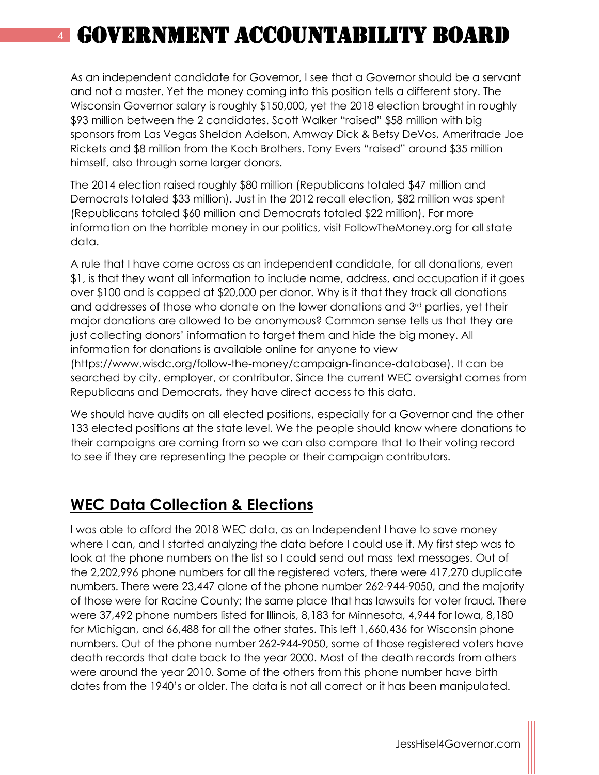As an independent candidate for Governor, I see that a Governor should be a servant and not a master. Yet the money coming into this position tells a different story. The Wisconsin Governor salary is roughly \$150,000, yet the 2018 election brought in roughly \$93 million between the 2 candidates. Scott Walker "raised" \$58 million with big sponsors from Las Vegas Sheldon Adelson, Amway Dick & Betsy DeVos, Ameritrade Joe Rickets and \$8 million from the Koch Brothers. Tony Evers "raised" around \$35 million himself, also through some larger donors.

The 2014 election raised roughly \$80 million (Republicans totaled \$47 million and Democrats totaled \$33 million). Just in the 2012 recall election, \$82 million was spent (Republicans totaled \$60 million and Democrats totaled \$22 million). For more information on the horrible money in our politics, visit FollowTheMoney.org for all state data.

A rule that I have come across as an independent candidate, for all donations, even \$1, is that they want all information to include name, address, and occupation if it goes over \$100 and is capped at \$20,000 per donor. Why is it that they track all donations and addresses of those who donate on the lower donations and 3rd parties, yet their major donations are allowed to be anonymous? Common sense tells us that they are just collecting donors' information to target them and hide the big money. All information for donations is available online for anyone to view (https://www.wisdc.org/follow-the-money/campaign-finance-database). It can be searched by city, employer, or contributor. Since the current WEC oversight comes from Republicans and Democrats, they have direct access to this data.

We should have audits on all elected positions, especially for a Governor and the other 133 elected positions at the state level. We the people should know where donations to their campaigns are coming from so we can also compare that to their voting record to see if they are representing the people or their campaign contributors.

#### **WEC Data Collection & Elections**

I was able to afford the 2018 WEC data, as an Independent I have to save money where I can, and I started analyzing the data before I could use it. My first step was to look at the phone numbers on the list so I could send out mass text messages. Out of the 2,202,996 phone numbers for all the registered voters, there were 417,270 duplicate numbers. There were 23,447 alone of the phone number 262-944-9050, and the majority of those were for Racine County; the same place that has lawsuits for voter fraud. There were 37,492 phone numbers listed for Illinois, 8,183 for Minnesota, 4,944 for Iowa, 8,180 for Michigan, and 66,488 for all the other states. This left 1,660,436 for Wisconsin phone numbers. Out of the phone number 262-944-9050, some of those registered voters have death records that date back to the year 2000. Most of the death records from others were around the year 2010. Some of the others from this phone number have birth dates from the 1940's or older. The data is not all correct or it has been manipulated.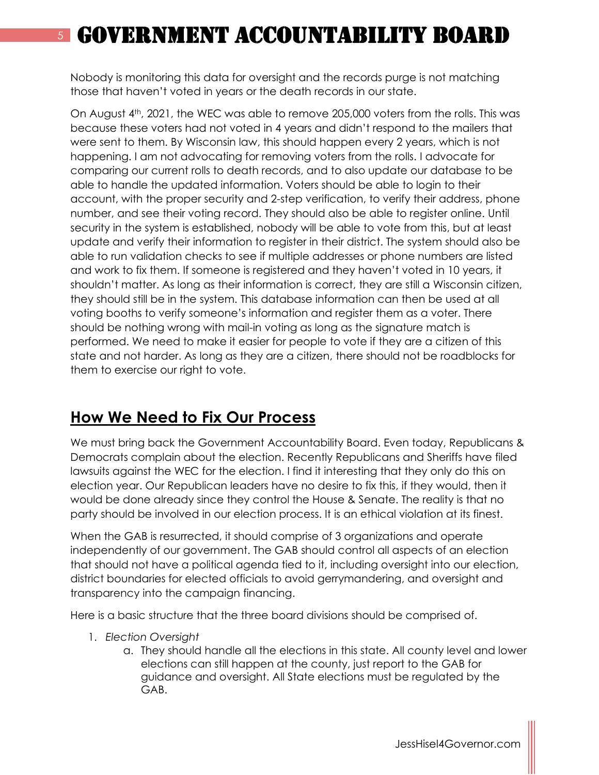Nobody is monitoring this data for oversight and the records purge is not matching those that haven't voted in years or the death records in our state.

On August 4th, 2021, the WEC was able to remove 205,000 voters from the rolls. This was because these voters had not voted in 4 years and didn't respond to the mailers that were sent to them. By Wisconsin law, this should happen every 2 years, which is not happening. I am not advocating for removing voters from the rolls. I advocate for comparing our current rolls to death records, and to also update our database to be able to handle the updated information. Voters should be able to login to their account, with the proper security and 2-step verification, to verify their address, phone number, and see their voting record. They should also be able to register online. Until security in the system is established, nobody will be able to vote from this, but at least update and verify their information to register in their district. The system should also be able to run validation checks to see if multiple addresses or phone numbers are listed and work to fix them. If someone is registered and they haven't voted in 10 years, it shouldn't matter. As long as their information is correct, they are still a Wisconsin citizen, they should still be in the system. This database information can then be used at all voting booths to verify someone's information and register them as a voter. There should be nothing wrong with mail-in voting as long as the signature match is performed. We need to make it easier for people to vote if they are a citizen of this state and not harder. As long as they are a citizen, there should not be roadblocks for them to exercise our right to vote.

### **How We Need to Fix Our Process**

We must bring back the Government Accountability Board. Even today, Republicans & Democrats complain about the election. Recently Republicans and Sheriffs have filed lawsuits against the WEC for the election. I find it interesting that they only do this on election year. Our Republican leaders have no desire to fix this, if they would, then it would be done already since they control the House & Senate. The reality is that no party should be involved in our election process. It is an ethical violation at its finest.

When the GAB is resurrected, it should comprise of 3 organizations and operate independently of our government. The GAB should control all aspects of an election that should not have a political agenda tied to it, including oversight into our election, district boundaries for elected officials to avoid gerrymandering, and oversight and transparency into the campaign financing.

Here is a basic structure that the three board divisions should be comprised of.

- 1. *Election Oversight*
	- a. They should handle all the elections in this state. All county level and lower elections can still happen at the county, just report to the GAB for guidance and oversight. All State elections must be regulated by the GAB.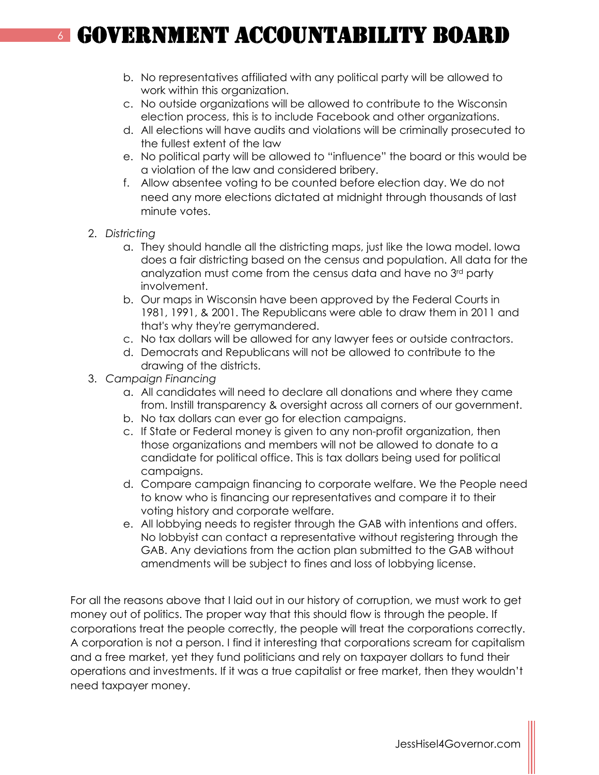- b. No representatives affiliated with any political party will be allowed to work within this organization.
- c. No outside organizations will be allowed to contribute to the Wisconsin election process, this is to include Facebook and other organizations.
- d. All elections will have audits and violations will be criminally prosecuted to the fullest extent of the law
- e. No political party will be allowed to "influence" the board or this would be a violation of the law and considered bribery.
- f. Allow absentee voting to be counted before election day. We do not need any more elections dictated at midnight through thousands of last minute votes.
- 2. *Districting*
	- a. They should handle all the districting maps, just like the Iowa model. Iowa does a fair districting based on the census and population. All data for the analyzation must come from the census data and have no 3<sup>rd</sup> party involvement.
	- b. Our maps in Wisconsin have been approved by the Federal Courts in 1981, 1991, & 2001. The Republicans were able to draw them in 2011 and that's why they're gerrymandered.
	- c. No tax dollars will be allowed for any lawyer fees or outside contractors.
	- d. Democrats and Republicans will not be allowed to contribute to the drawing of the districts.
- 3. *Campaign Financing*
	- a. All candidates will need to declare all donations and where they came from. Instill transparency & oversight across all corners of our government.
	- b. No tax dollars can ever go for election campaigns.
	- c. If State or Federal money is given to any non-profit organization, then those organizations and members will not be allowed to donate to a candidate for political office. This is tax dollars being used for political campaigns.
	- d. Compare campaign financing to corporate welfare. We the People need to know who is financing our representatives and compare it to their voting history and corporate welfare.
	- e. All lobbying needs to register through the GAB with intentions and offers. No lobbyist can contact a representative without registering through the GAB. Any deviations from the action plan submitted to the GAB without amendments will be subject to fines and loss of lobbying license.

For all the reasons above that I laid out in our history of corruption, we must work to get money out of politics. The proper way that this should flow is through the people. If corporations treat the people correctly, the people will treat the corporations correctly. A corporation is not a person. I find it interesting that corporations scream for capitalism and a free market, yet they fund politicians and rely on taxpayer dollars to fund their operations and investments. If it was a true capitalist or free market, then they wouldn't need taxpayer money.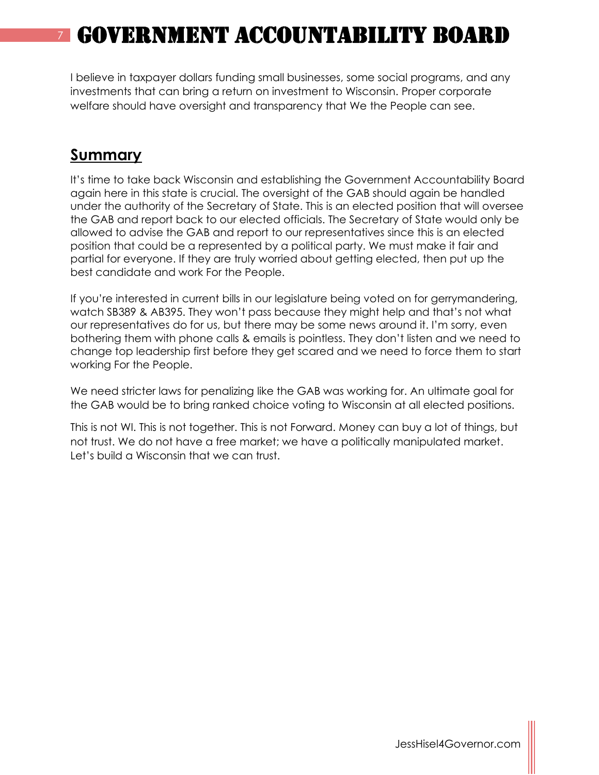I believe in taxpayer dollars funding small businesses, some social programs, and any investments that can bring a return on investment to Wisconsin. Proper corporate welfare should have oversight and transparency that We the People can see.

#### **Summary**

It's time to take back Wisconsin and establishing the Government Accountability Board again here in this state is crucial. The oversight of the GAB should again be handled under the authority of the Secretary of State. This is an elected position that will oversee the GAB and report back to our elected officials. The Secretary of State would only be allowed to advise the GAB and report to our representatives since this is an elected position that could be a represented by a political party. We must make it fair and partial for everyone. If they are truly worried about getting elected, then put up the best candidate and work For the People.

If you're interested in current bills in our legislature being voted on for gerrymandering, watch SB389 & AB395. They won't pass because they might help and that's not what our representatives do for us, but there may be some news around it. I'm sorry, even bothering them with phone calls & emails is pointless. They don't listen and we need to change top leadership first before they get scared and we need to force them to start working For the People.

We need stricter laws for penalizing like the GAB was working for. An ultimate goal for the GAB would be to bring ranked choice voting to Wisconsin at all elected positions.

This is not WI. This is not together. This is not Forward. Money can buy a lot of things, but not trust. We do not have a free market; we have a politically manipulated market. Let's build a Wisconsin that we can trust.